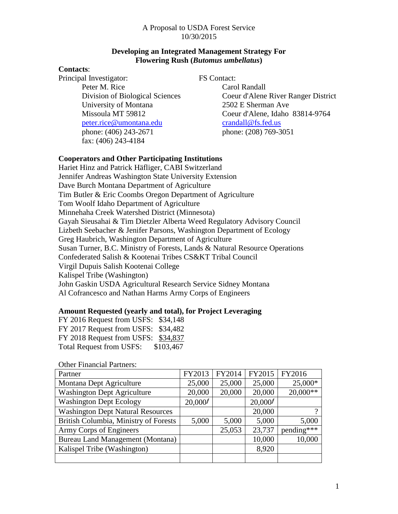## **Developing an Integrated Management Strategy For Flowering Rush (***Butomus umbellatus***)**

## **Contacts**:

Principal Investigator: FS Contact: Peter M. Rice Carol Randall University of Montana 2502 E Sherman Ave peter.rice@umontana.edu crandall@fs.fed.us phone: (406) 243-2671 phone: (208) 769-3051 fax: (406) 243-4184

Division of Biological Sciences Coeur d'Alene River Ranger District Missoula MT 59812 Coeur d'Alene, Idaho 83814-9764

# **Cooperators and Other Participating Institutions**

Hariet Hinz and Patrick Häfliger, CABI Switzerland Jennifer Andreas Washington State University Extension Dave Burch Montana Department of Agriculture Tim Butler & Eric Coombs Oregon Department of Agriculture Tom Woolf Idaho Department of Agriculture Minnehaha Creek Watershed District (Minnesota) Gayah Sieusahai & Tim Dietzler Alberta Weed Regulatory Advisory Council Lizbeth Seebacher & Jenifer Parsons, Washington Department of Ecology Greg Haubrich, Washington Department of Agriculture Susan Turner, B.C. Ministry of Forests, Lands & Natural Resource Operations Confederated Salish & Kootenai Tribes CS&KT Tribal Council Virgil Dupuis Salish Kootenai College Kalispel Tribe (Washington) John Gaskin USDA Agricultural Research Service Sidney Montana Al Cofrancesco and Nathan Harms Army Corps of Engineers

# **Amount Requested (yearly and total), for Project Leveraging**

| FY 2016 Request from USFS: \$34,148 |  |           |  |
|-------------------------------------|--|-----------|--|
| FY 2017 Request from USFS: \$34,482 |  |           |  |
| FY 2018 Request from USFS: \$34,837 |  |           |  |
| <b>Total Request from USFS:</b>     |  | \$103,467 |  |

Other Financial Partners:

| Partner                                  | FY2013              | FY2014 | FY2015              | FY2016     |
|------------------------------------------|---------------------|--------|---------------------|------------|
| Montana Dept Agriculture                 | 25,000              | 25,000 | 25,000              | 25,000*    |
| <b>Washington Dept Agriculture</b>       | 20,000              | 20,000 | 20,000              | $20,000**$ |
| <b>Washington Dept Ecology</b>           | 20,000 <sup>f</sup> |        | 20,000 <sup>f</sup> |            |
| <b>Washington Dept Natural Resources</b> |                     |        | 20,000              | റ          |
| British Columbia, Ministry of Forests    | 5,000               | 5,000  | 5,000               | 5,000      |
| Army Corps of Engineers                  |                     | 25,053 | 23,737              | pending*** |
| <b>Bureau Land Management (Montana)</b>  |                     |        | 10,000              | 10,000     |
| Kalispel Tribe (Washington)              |                     |        | 8,920               |            |
|                                          |                     |        |                     |            |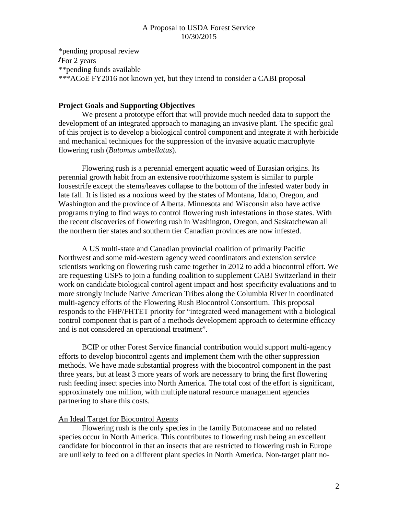\*pending proposal review  $f_{\text{For 2 years}}$ \*\*pending funds available \*\*\*ACoE FY2016 not known yet, but they intend to consider a CABI proposal

### **Project Goals and Supporting Objectives**

We present a prototype effort that will provide much needed data to support the development of an integrated approach to managing an invasive plant. The specific goal of this project is to develop a biological control component and integrate it with herbicide and mechanical techniques for the suppression of the invasive aquatic macrophyte flowering rush (*Butomus umbellatus*).

Flowering rush is a perennial emergent aquatic weed of Eurasian origins. Its perennial growth habit from an extensive root/rhizome system is similar to purple loosestrife except the stems/leaves collapse to the bottom of the infested water body in late fall. It is listed as a noxious weed by the states of Montana, Idaho, Oregon, and Washington and the province of Alberta. Minnesota and Wisconsin also have active programs trying to find ways to control flowering rush infestations in those states. With the recent discoveries of flowering rush in Washington, Oregon, and Saskatchewan all the northern tier states and southern tier Canadian provinces are now infested.

A US multi-state and Canadian provincial coalition of primarily Pacific Northwest and some mid-western agency weed coordinators and extension service scientists working on flowering rush came together in 2012 to add a biocontrol effort. We are requesting USFS to join a funding coalition to supplement CABI Switzerland in their work on candidate biological control agent impact and host specificity evaluations and to more strongly include Native American Tribes along the Columbia River in coordinated multi-agency efforts of the Flowering Rush Biocontrol Consortium. This proposal responds to the FHP/FHTET priority for "integrated weed management with a biological control component that is part of a methods development approach to determine efficacy and is not considered an operational treatment".

BCIP or other Forest Service financial contribution would support multi-agency efforts to develop biocontrol agents and implement them with the other suppression methods. We have made substantial progress with the biocontrol component in the past three years, but at least 3 more years of work are necessary to bring the first flowering rush feeding insect species into North America. The total cost of the effort is significant, approximately one million, with multiple natural resource management agencies partnering to share this costs.

### An Ideal Target for Biocontrol Agents

Flowering rush is the only species in the family Butomaceae and no related species occur in North America. This contributes to flowering rush being an excellent candidate for biocontrol in that an insects that are restricted to flowering rush in Europe are unlikely to feed on a different plant species in North America. Non-target plant no-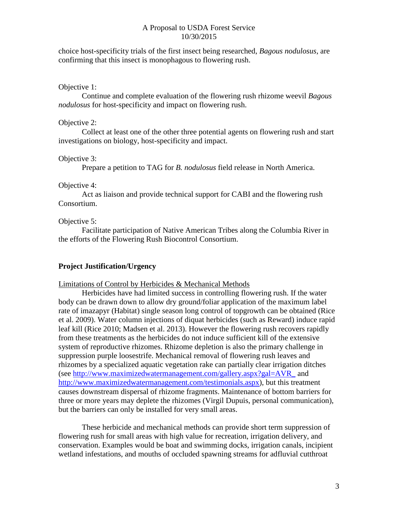choice host-specificity trials of the first insect being researched, *Bagous nodulosus*, are confirming that this insect is monophagous to flowering rush.

## Objective 1:

Continue and complete evaluation of the flowering rush rhizome weevil *Bagous nodulosus* for host-specificity and impact on flowering rush.

## Objective 2:

Collect at least one of the other three potential agents on flowering rush and start investigations on biology, host-specificity and impact.

## Objective 3:

Prepare a petition to TAG for *B. nodulosus* field release in North America.

# Objective 4:

Act as liaison and provide technical support for CABI and the flowering rush Consortium.

# Objective 5:

Facilitate participation of Native American Tribes along the Columbia River in the efforts of the Flowering Rush Biocontrol Consortium.

# **Project Justification/Urgency**

### Limitations of Control by Herbicides & Mechanical Methods

Herbicides have had limited success in controlling flowering rush. If the water body can be drawn down to allow dry ground/foliar application of the maximum label rate of imazapyr (Habitat) single season long control of topgrowth can be obtained (Rice et al. 2009). Water column injections of diquat herbicides (such as Reward) induce rapid leaf kill (Rice 2010; Madsen et al. 2013). However the flowering rush recovers rapidly from these treatments as the herbicides do not induce sufficient kill of the extensive system of reproductive rhizomes. Rhizome depletion is also the primary challenge in suppression purple loosestrife. Mechanical removal of flowering rush leaves and rhizomes by a specialized aquatic vegetation rake can partially clear irrigation ditches (see [http://www.maximizedwatermanagement.com/gallery.aspx?gal=AVR\\_](http://www.maximizedwatermanagement.com/gallery.aspx?gal=AVR_) and [http://www.maximizedwatermanagement.com/testimonials.aspx\)](http://www.maximizedwatermanagement.com/testimonials.aspx), but this treatment causes downstream dispersal of rhizome fragments. Maintenance of bottom barriers for three or more years may deplete the rhizomes (Virgil Dupuis, personal communication), but the barriers can only be installed for very small areas.

These herbicide and mechanical methods can provide short term suppression of flowering rush for small areas with high value for recreation, irrigation delivery, and conservation. Examples would be boat and swimming docks, irrigation canals, incipient wetland infestations, and mouths of occluded spawning streams for adfluvial cutthroat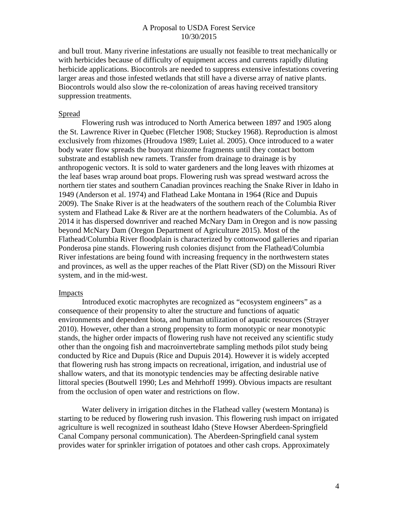and bull trout. Many riverine infestations are usually not feasible to treat mechanically or with herbicides because of difficulty of equipment access and currents rapidly diluting herbicide applications. Biocontrols are needed to suppress extensive infestations covering larger areas and those infested wetlands that still have a diverse array of native plants. Biocontrols would also slow the re-colonization of areas having received transitory suppression treatments.

#### Spread

Flowering rush was introduced to North America between 1897 and 1905 along the St. Lawrence River in Quebec (Fletcher 1908; Stuckey 1968). Reproduction is almost exclusively from rhizomes (Hroudova 1989; Luiet al. 2005). Once introduced to a water body water flow spreads the buoyant rhizome fragments until they contact bottom substrate and establish new ramets. Transfer from drainage to drainage is by anthropogenic vectors. It is sold to water gardeners and the long leaves with rhizomes at the leaf bases wrap around boat props. Flowering rush was spread westward across the northern tier states and southern Canadian provinces reaching the Snake River in Idaho in 1949 (Anderson et al. 1974) and Flathead Lake Montana in 1964 (Rice and Dupuis 2009). The Snake River is at the headwaters of the southern reach of the Columbia River system and Flathead Lake & River are at the northern headwaters of the Columbia. As of 2014 it has dispersed downriver and reached McNary Dam in Oregon and is now passing beyond McNary Dam (Oregon Department of Agriculture 2015). Most of the Flathead/Columbia River floodplain is characterized by cottonwood galleries and riparian Ponderosa pine stands. Flowering rush colonies disjunct from the Flathead/Columbia River infestations are being found with increasing frequency in the northwestern states and provinces, as well as the upper reaches of the Platt River (SD) on the Missouri River system, and in the mid-west.

#### Impacts

Introduced exotic macrophytes are recognized as "ecosystem engineers" as a consequence of their propensity to alter the structure and functions of aquatic environments and dependent biota, and human utilization of aquatic resources (Strayer 2010). However, other than a strong propensity to form monotypic or near monotypic stands, the higher order impacts of flowering rush have not received any scientific study other than the ongoing fish and macroinvertebrate sampling methods pilot study being conducted by Rice and Dupuis (Rice and Dupuis 2014). However it is widely accepted that flowering rush has strong impacts on recreational, irrigation, and industrial use of shallow waters, and that its monotypic tendencies may be affecting desirable native littoral species (Boutwell 1990; Les and Mehrhoff 1999). Obvious impacts are resultant from the occlusion of open water and restrictions on flow.

Water delivery in irrigation ditches in the Flathead valley (western Montana) is starting to be reduced by flowering rush invasion. This flowering rush impact on irrigated agriculture is well recognized in southeast Idaho (Steve Howser Aberdeen-Springfield Canal Company personal communication). The Aberdeen-Springfield canal system provides water for sprinkler irrigation of potatoes and other cash crops. Approximately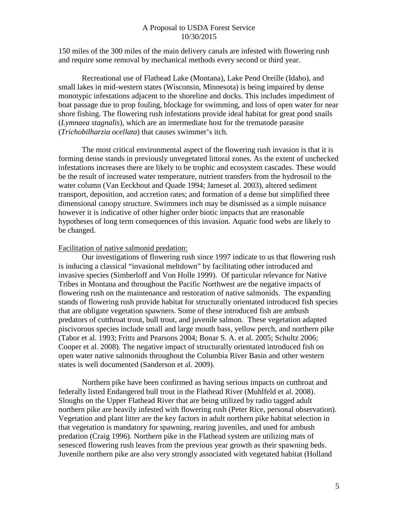150 miles of the 300 miles of the main delivery canals are infested with flowering rush and require some removal by mechanical methods every second or third year.

Recreational use of Flathead Lake (Montana), Lake Pend Oreille (Idaho), and small lakes in mid-western states (Wisconsin, Minnesota) is being impaired by dense monotypic infestations adjacent to the shoreline and docks. This includes impediment of boat passage due to prop fouling, blockage for swimming, and loss of open water for near shore fishing. The flowering rush infestations provide ideal habitat for great pond snails (*Lymnaea stagnalis*), which are an intermediate host for the trematode parasite (*Trichobilharzia ocellata*) that causes swimmer's itch.

The most critical environmental aspect of the flowering rush invasion is that it is forming dense stands in previously unvegetated littoral zones. As the extent of unchecked infestations increases there are likely to be trophic and ecosystem cascades. These would be the result of increased water temperature, nutrient transfers from the hydrosoil to the water column (Van Eeckhout and Quade 1994; Jameset al. 2003), altered sediment transport, deposition, and accretion rates; and formation of a dense but simplified three dimensional canopy structure. Swimmers inch may be dismissed as a simple nuisance however it is indicative of other higher order biotic impacts that are reasonable hypotheses of long term consequences of this invasion. Aquatic food webs are likely to be changed.

#### Facilitation of native salmonid predation:

Our investigations of flowering rush since 1997 indicate to us that flowering rush is inducing a classical "invasional meltdown" by facilitating other introduced and invasive species (Simberloff and Von Holle 1999). Of particular relevance for Native Tribes in Montana and throughout the Pacific Northwest are the negative impacts of flowering rush on the maintenance and restoration of native salmonids. The expanding stands of flowering rush provide habitat for structurally orientated introduced fish species that are obligate vegetation spawners. Some of these introduced fish are ambush predators of cutthroat trout, bull trout, and juvenile salmon. These vegetation adapted piscivorous species include small and large mouth bass, yellow perch, and northern pike (Tabor et al. 1993; Fritts and Pearsons 2004; Bonar S. A. et al. 2005; Schultz 2006; Cooper et al. 2008). The negative impact of structurally orientated introduced fish on open water native salmonids throughout the Columbia River Basin and other western states is well documented (Sanderson et al. 2009).

Northern pike have been confirmed as having serious impacts on cutthroat and federally listed Endangered bull trout in the Flathead River (Muhlfeld et al. 2008). Sloughs on the Upper Flathead River that are being utilized by radio tagged adult northern pike are heavily infested with flowering rush (Peter Rice, personal observation). Vegetation and plant litter are the key factors in adult northern pike habitat selection in that vegetation is mandatory for spawning, rearing juveniles, and used for ambush predation (Craig 1996). Northern pike in the Flathead system are utilizing mats of senesced flowering rush leaves from the previous year growth as their spawning beds. Juvenile northern pike are also very strongly associated with vegetated habitat (Holland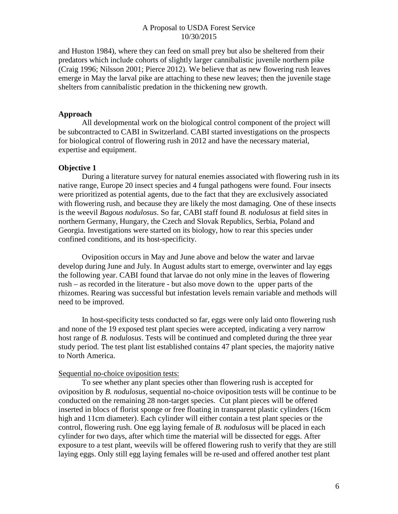and Huston 1984), where they can feed on small prey but also be sheltered from their predators which include cohorts of slightly larger cannibalistic juvenile northern pike (Craig 1996; Nilsson 2001; Pierce 2012). We believe that as new flowering rush leaves emerge in May the larval pike are attaching to these new leaves; then the juvenile stage shelters from cannibalistic predation in the thickening new growth.

### **Approach**

All developmental work on the biological control component of the project will be subcontracted to CABI in Switzerland. CABI started investigations on the prospects for biological control of flowering rush in 2012 and have the necessary material, expertise and equipment.

### **Objective 1**

During a literature survey for natural enemies associated with flowering rush in its native range, Europe 20 insect species and 4 fungal pathogens were found. Four insects were prioritized as potential agents, due to the fact that they are exclusively associated with flowering rush, and because they are likely the most damaging. One of these insects is the weevil *Bagous nodulosus*. So far, CABI staff found *B. nodulosus* at field sites in northern Germany, Hungary, the Czech and Slovak Republics, Serbia, Poland and Georgia. Investigations were started on its biology, how to rear this species under confined conditions, and its host-specificity.

Oviposition occurs in May and June above and below the water and larvae develop during June and July. In August adults start to emerge, overwinter and lay eggs the following year. CABI found that larvae do not only mine in the leaves of flowering rush – as recorded in the literature - but also move down to the upper parts of the rhizomes. Rearing was successful but infestation levels remain variable and methods will need to be improved.

In host-specificity tests conducted so far, eggs were only laid onto flowering rush and none of the 19 exposed test plant species were accepted, indicating a very narrow host range of *B. nodulosus*. Tests will be continued and completed during the three year study period. The test plant list established contains 47 plant species, the majority native to North America.

#### Sequential no-choice oviposition tests:

To see whether any plant species other than flowering rush is accepted for oviposition by *B. nodulosus,* sequential no-choice oviposition tests will be continue to be conducted on the remaining 28 non-target species. Cut plant pieces will be offered inserted in blocs of florist sponge or free floating in transparent plastic cylinders (16cm high and 11cm diameter). Each cylinder will either contain a test plant species or the control, flowering rush. One egg laying female of *B. nodulosus* will be placed in each cylinder for two days, after which time the material will be dissected for eggs. After exposure to a test plant, weevils will be offered flowering rush to verify that they are still laying eggs. Only still egg laying females will be re-used and offered another test plant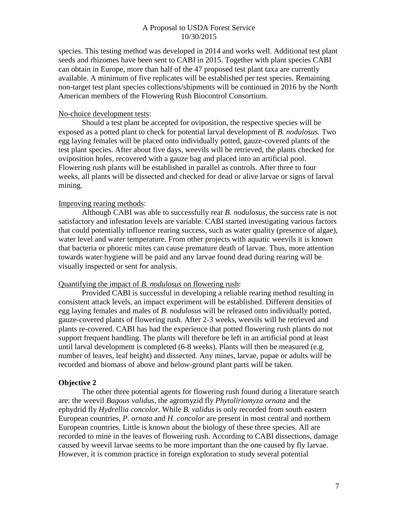species. This testing method was developed in 2014 and works well. Additional test plant seeds and rhizomes have been sent to CABI in 2015. Together with plant species CABI can obtain in Europe, more than half of the 47 proposed test plant taxa are currently available. A minimum of five replicates will be established per test species. Remaining non-target test plant species collections/shipments will be continued in 2016 by the North American members of the Flowering Rush Biocontrol Consortium.

#### No-choice development tests:

Should a test plant be accepted for oviposition, the respective species will be exposed as a potted plant to check for potential larval development of *B. nodulosus.* Two egg laying females will be placed onto individually potted, gauze-covered plants of the test plant species. After about five days, weevils will be retrieved, the plants checked for oviposition holes, recovered with a gauze bag and placed into an artificial pool. Flowering rush plants will be established in parallel as controls. After three to four weeks, all plants will be dissected and checked for dead or alive larvae or signs of larval mining.

### Improving rearing methods:

Although CABI was able to successfully rear *B. nodulosus*, the success rate is not satisfactory and infestation levels are variable. CABI started investigating various factors that could potentially influence rearing success, such as water quality (presence of algae), water level and water temperature. From other projects with aquatic weevils it is known that bacteria or phoretic mites can cause premature death of larvae. Thus, more attention towards water hygiene will be paid and any larvae found dead during rearing will be visually inspected or sent for analysis.

#### Quantifying the impact of *B. nodulosus* on flowering rush:

Provided CABI is successful in developing a reliable rearing method resulting in consistent attack levels, an impact experiment will be established. Different densities of egg laying females and males of *B. nodulosus* will be released onto individually potted, gauze-covered plants of flowering rush. After 2-3 weeks, weevils will be retrieved and plants re-covered. CABI has had the experience that potted flowering rush plants do not support frequent handling. The plants will therefore be left in an artificial pond at least until larval development is completed (6-8 weeks). Plants will then be measured (e.g. number of leaves, leaf height) and dissected. Any mines, larvae, pupae or adults will be recorded and biomass of above and below-ground plant parts will be taken.

### **Objective 2**

The other three potential agents for flowering rush found during a literature search are: the weevil *Bagous validus*, the agromyzid fly *Phytoliriomyza ornata* and the ephydrid fly *Hydrellia concolor*. While *B. validus* is only recorded from south eastern European countries, *P. ornata* and *H. concolor* are present in most central and northern European countries. Little is known about the biology of these three species. All are recorded to mine in the leaves of flowering rush. According to CABI dissections, damage caused by weevil larvae seems to be more important than the one caused by fly larvae. However, it is common practice in foreign exploration to study several potential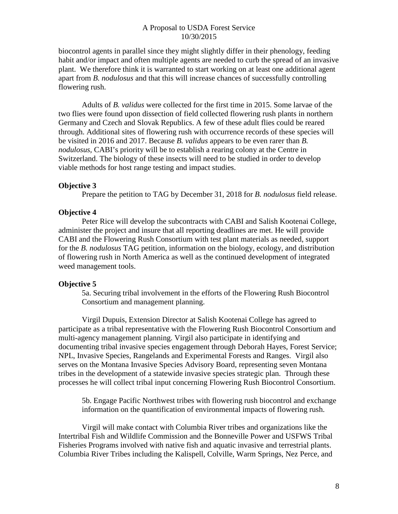biocontrol agents in parallel since they might slightly differ in their phenology, feeding habit and/or impact and often multiple agents are needed to curb the spread of an invasive plant. We therefore think it is warranted to start working on at least one additional agent apart from *B. nodulosus* and that this will increase chances of successfully controlling flowering rush.

Adults of *B. validus* were collected for the first time in 2015. Some larvae of the two flies were found upon dissection of field collected flowering rush plants in northern Germany and Czech and Slovak Republics. A few of these adult flies could be reared through. Additional sites of flowering rush with occurrence records of these species will be visited in 2016 and 2017. Because *B. validus* appears to be even rarer than *B. nodulosus,* CABI's priority will be to establish a rearing colony at the Centre in Switzerland. The biology of these insects will need to be studied in order to develop viable methods for host range testing and impact studies.

#### **Objective 3**

Prepare the petition to TAG by December 31, 2018 for *B. nodulosus* field release.

#### **Objective 4**

Peter Rice will develop the subcontracts with CABI and Salish Kootenai College, administer the project and insure that all reporting deadlines are met. He will provide CABI and the Flowering Rush Consortium with test plant materials as needed, support for the *B. nodulosus* TAG petition, information on the biology, ecology, and distribution of flowering rush in North America as well as the continued development of integrated weed management tools.

#### **Objective 5**

5a. Securing tribal involvement in the efforts of the Flowering Rush Biocontrol Consortium and management planning.

Virgil Dupuis, Extension Director at Salish Kootenai College has agreed to participate as a tribal representative with the Flowering Rush Biocontrol Consortium and multi-agency management planning. Virgil also participate in identifying and documenting tribal invasive species engagement through Deborah Hayes, Forest Service; NPL, Invasive Species, Rangelands and Experimental Forests and Ranges. Virgil also serves on the Montana Invasive Species Advisory Board, representing seven Montana tribes in the development of a statewide invasive species strategic plan. Through these processes he will collect tribal input concerning Flowering Rush Biocontrol Consortium.

5b. Engage Pacific Northwest tribes with flowering rush biocontrol and exchange information on the quantification of environmental impacts of flowering rush.

Virgil will make contact with Columbia River tribes and organizations like the Intertribal Fish and Wildlife Commission and the Bonneville Power and USFWS Tribal Fisheries Programs involved with native fish and aquatic invasive and terrestrial plants. Columbia River Tribes including the Kalispell, Colville, Warm Springs, Nez Perce, and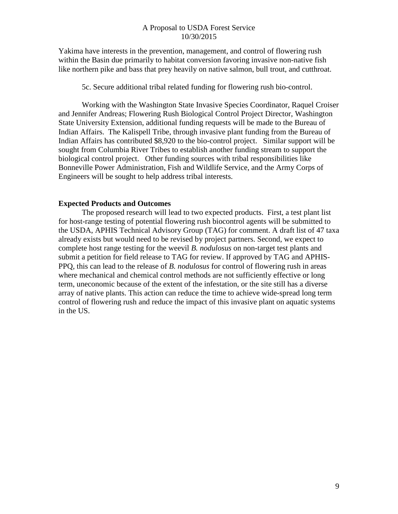Yakima have interests in the prevention, management, and control of flowering rush within the Basin due primarily to habitat conversion favoring invasive non-native fish like northern pike and bass that prey heavily on native salmon, bull trout, and cutthroat.

5c. Secure additional tribal related funding for flowering rush bio-control.

Working with the Washington State Invasive Species Coordinator, Raquel Croiser and Jennifer Andreas; Flowering Rush Biological Control Project Director, Washington State University Extension, additional funding requests will be made to the Bureau of Indian Affairs. The Kalispell Tribe, through invasive plant funding from the Bureau of Indian Affairs has contributed \$8,920 to the bio-control project. Similar support will be sought from Columbia River Tribes to establish another funding stream to support the biological control project. Other funding sources with tribal responsibilities like Bonneville Power Administration, Fish and Wildlife Service, and the Army Corps of Engineers will be sought to help address tribal interests.

### **Expected Products and Outcomes**

The proposed research will lead to two expected products. First, a test plant list for host-range testing of potential flowering rush biocontrol agents will be submitted to the USDA, APHIS Technical Advisory Group (TAG) for comment. A draft list of 47 taxa already exists but would need to be revised by project partners. Second, we expect to complete host range testing for the weevil *B. nodulosus* on non-target test plants and submit a petition for field release to TAG for review. If approved by TAG and APHIS-PPQ, this can lead to the release of *B. nodulosus* for control of flowering rush in areas where mechanical and chemical control methods are not sufficiently effective or long term, uneconomic because of the extent of the infestation, or the site still has a diverse array of native plants. This action can reduce the time to achieve wide-spread long term control of flowering rush and reduce the impact of this invasive plant on aquatic systems in the US.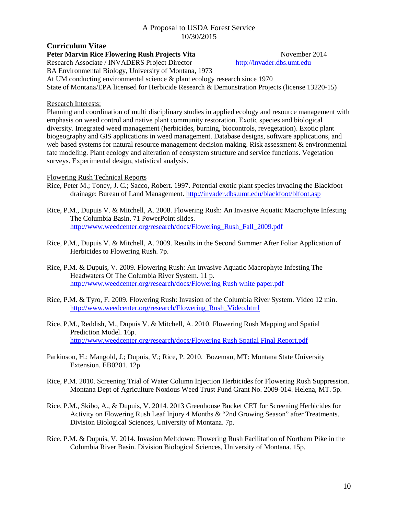#### **Curriculum Vitae Peter Marvin Rice Flowering Rush Projects Vita** November 2014<br>Research Associate / INVADERS Project Director http://invader.dbs.umt.edu Research Associate / INVADERS Project Director

BA Environmental Biology, University of Montana, 1973

At UM conducting environmental science & plant ecology research since 1970

State of Montana/EPA licensed for Herbicide Research & Demonstration Projects (license 13220-15)

## Research Interests:

Planning and coordination of multi disciplinary studies in applied ecology and resource management with emphasis on weed control and native plant community restoration. Exotic species and biological diversity. Integrated weed management (herbicides, burning, biocontrols, revegetation). Exotic plant biogeography and GIS applications in weed management. Database designs, software applications, and web based systems for natural resource management decision making. Risk assessment & environmental fate modeling. Plant ecology and alteration of ecosystem structure and service functions. Vegetation surveys. Experimental design, statistical analysis.

## Flowering Rush Technical Reports

- Rice, Peter M.; Toney, J. C.; Sacco, Robert. 1997. Potential exotic plant species invading the Blackfoot drainage: Bureau of Land Management.<http://invader.dbs.umt.edu/blackfoot/blfoot.asp>
- Rice, P.M., Dupuis V. & Mitchell, A. 2008. Flowering Rush: An Invasive Aquatic Macrophyte Infesting The Columbia Basin. 71 PowerPoint slides. [http://www.weedcenter.org/research/docs/Flowering\\_Rush\\_Fall\\_2009.pdf](http://www.weedcenter.org/research/docs/Flowering_Rush_Fall_2009.pdf)
- Rice, P.M., Dupuis V. & Mitchell, A. 2009. Results in the Second Summer After Foliar Application of Herbicides to Flowering Rush. 7p.
- Rice, P.M. & Dupuis, V. 2009. Flowering Rush: An Invasive Aquatic Macrophyte Infesting The Headwaters Of The Columbia River System. 11 p. [http://www.weedcenter.org/research/docs/Flowering Rush white paper.pdf](http://www.weedcenter.org/research/docs/Flowering%20Rush%20white%20paper.pdf)
- Rice, P.M. & Tyro, F. 2009. Flowering Rush: Invasion of the Columbia River System. Video 12 min. [http://www.weedcenter.org/research/Flowering\\_Rush\\_Video.html](http://www.weedcenter.org/research/Flowering_Rush_Video.html)
- Rice, P.M., Reddish, M., Dupuis V. & Mitchell, A. 2010. Flowering Rush Mapping and Spatial Prediction Model. 16p. [http://www.weedcenter.org/research/docs/Flowering Rush Spatial Final Report.pdf](http://www.weedcenter.org/research/docs/Flowering%20Rush%20Spatial%20Final%20Report.pdf)
- Parkinson, H.; Mangold, J.; Dupuis, V.; Rice, P. 2010. Bozeman, MT: Montana State University Extension. EB0201. 12p
- Rice, P.M. 2010. Screening Trial of Water Column Injection Herbicides for Flowering Rush Suppression. Montana Dept of Agriculture Noxious Weed Trust Fund Grant No. 2009-014. Helena, MT. 5p.
- Rice, P.M., Skibo, A., & Dupuis, V. 2014. 2013 Greenhouse Bucket CET for Screening Herbicides for Activity on Flowering Rush Leaf Injury 4 Months & "2nd Growing Season" after Treatments. Division Biological Sciences, University of Montana. 7p.
- Rice, P.M. & Dupuis, V. 2014. Invasion Meltdown: Flowering Rush Facilitation of Northern Pike in the Columbia River Basin. Division Biological Sciences, University of Montana. 15p.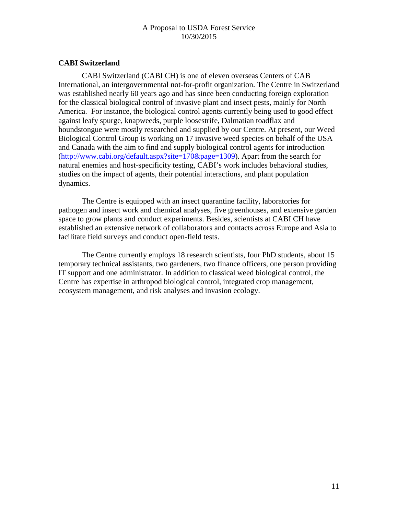# **CABI Switzerland**

CABI Switzerland (CABI CH) is one of eleven overseas Centers of CAB International, an intergovernmental not-for-profit organization. The Centre in Switzerland was established nearly 60 years ago and has since been conducting foreign exploration for the classical biological control of invasive plant and insect pests, mainly for North America. For instance, the biological control agents currently being used to good effect against leafy spurge, knapweeds, purple loosestrife, Dalmatian toadflax and houndstongue were mostly researched and supplied by our Centre. At present, our Weed Biological Control Group is working on 17 invasive weed species on behalf of the USA and Canada with the aim to find and supply biological control agents for introduction [\(http://www.cabi.org/default.aspx?site=170&page=1309\)](http://www.cabi.org/default.aspx?site=170&page=1309). Apart from the search for natural enemies and host-specificity testing, CABI's work includes behavioral studies, studies on the impact of agents, their potential interactions, and plant population dynamics.

The Centre is equipped with an insect quarantine facility, laboratories for pathogen and insect work and chemical analyses, five greenhouses, and extensive garden space to grow plants and conduct experiments. Besides, scientists at CABI CH have established an extensive network of collaborators and contacts across Europe and Asia to facilitate field surveys and conduct open-field tests.

The Centre currently employs 18 research scientists, four PhD students, about 15 temporary technical assistants, two gardeners, two finance officers, one person providing IT support and one administrator. In addition to classical weed biological control, the Centre has expertise in arthropod biological control, integrated crop management, ecosystem management, and risk analyses and invasion ecology.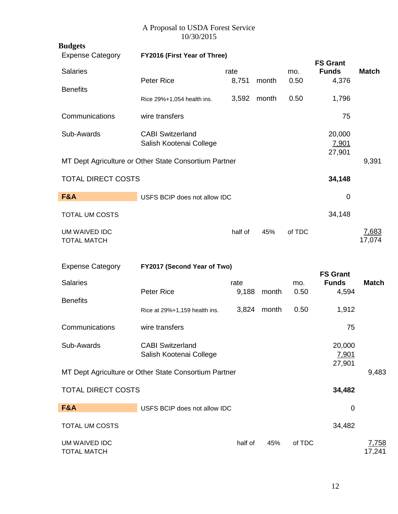| <b>Budgets</b>                      |                                                       |         |       |        |                                 |                        |
|-------------------------------------|-------------------------------------------------------|---------|-------|--------|---------------------------------|------------------------|
| <b>Expense Category</b>             | FY2016 (First Year of Three)                          |         |       |        | <b>FS Grant</b>                 |                        |
| <b>Salaries</b>                     |                                                       | rate    |       | mo.    | <b>Funds</b>                    | <b>Match</b>           |
| <b>Benefits</b>                     | <b>Peter Rice</b>                                     | 8,751   | month | 0.50   | 4,376                           |                        |
|                                     | Rice 29%+1,054 health ins.                            | 3,592   | month | 0.50   | 1,796                           |                        |
| Communications                      | wire transfers                                        |         |       |        | 75                              |                        |
| Sub-Awards                          | <b>CABI Switzerland</b><br>Salish Kootenai College    |         |       |        | 20,000<br>7,901<br>27,901       |                        |
|                                     | MT Dept Agriculture or Other State Consortium Partner |         |       |        |                                 | 9,391                  |
| <b>TOTAL DIRECT COSTS</b>           |                                                       |         |       |        | 34,148                          |                        |
| F&A                                 | USFS BCIP does not allow IDC                          |         |       |        | 0                               |                        |
| <b>TOTAL UM COSTS</b>               |                                                       |         |       |        | 34,148                          |                        |
| UM WAIVED IDC<br><b>TOTAL MATCH</b> |                                                       | half of | 45%   | of TDC |                                 | 7,683<br>17,074        |
| <b>Expense Category</b>             | FY2017 (Second Year of Two)                           |         |       |        |                                 |                        |
| <b>Salaries</b>                     |                                                       | rate    |       | mo.    | <b>FS Grant</b><br><b>Funds</b> | <b>Match</b>           |
| <b>Benefits</b>                     | Peter Rice                                            | 9,188   | month | 0.50   | 4,594                           |                        |
|                                     | Rice at 29%+1,159 health ins.                         | 3,824   | month | 0.50   | 1,912                           |                        |
| Communications                      | wire transfers                                        |         |       |        | 75                              |                        |
| Sub-Awards                          | <b>CABI Switzerland</b><br>Salish Kootenai College    |         |       |        | 20,000<br>7,901                 |                        |
|                                     | MT Dept Agriculture or Other State Consortium Partner |         |       |        | 27,901                          | 9,483                  |
| <b>TOTAL DIRECT COSTS</b>           |                                                       |         |       |        |                                 |                        |
|                                     |                                                       |         |       |        | 34,482                          |                        |
| <b>F&amp;A</b>                      | USFS BCIP does not allow IDC                          |         |       |        | 0                               |                        |
| <b>TOTAL UM COSTS</b>               |                                                       |         |       |        | 34,482                          |                        |
| UM WAIVED IDC<br><b>TOTAL MATCH</b> |                                                       | half of | 45%   | of TDC |                                 | <u>7,758</u><br>17,241 |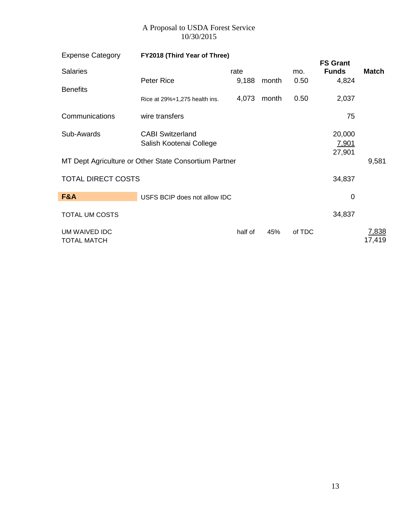| <b>Expense Category</b>             | FY2018 (Third Year of Three)                          |         |       |        |                                 |                 |
|-------------------------------------|-------------------------------------------------------|---------|-------|--------|---------------------------------|-----------------|
| <b>Salaries</b>                     |                                                       | rate    |       | mo.    | <b>FS Grant</b><br><b>Funds</b> | <b>Match</b>    |
|                                     | Peter Rice                                            | 9,188   | month | 0.50   | 4,824                           |                 |
| <b>Benefits</b>                     | Rice at 29%+1,275 health ins.                         | 4,073   | month | 0.50   | 2,037                           |                 |
| Communications                      | wire transfers                                        |         |       |        | 75                              |                 |
| Sub-Awards                          | <b>CABI Switzerland</b><br>Salish Kootenai College    |         |       |        | 20,000<br>7,901<br>27,901       |                 |
|                                     | MT Dept Agriculture or Other State Consortium Partner |         |       |        |                                 | 9,581           |
| <b>TOTAL DIRECT COSTS</b>           |                                                       |         |       |        | 34,837                          |                 |
| F&A                                 | USFS BCIP does not allow IDC                          |         |       |        | 0                               |                 |
| <b>TOTAL UM COSTS</b>               |                                                       |         |       |        | 34,837                          |                 |
| UM WAIVED IDC<br><b>TOTAL MATCH</b> |                                                       | half of | 45%   | of TDC |                                 | 7,838<br>17,419 |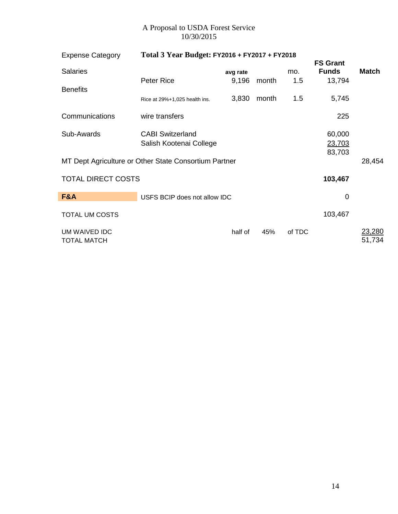| <b>Expense Category</b>             | Total 3 Year Budget: FY2016 + FY2017 + FY2018         |          |       |        |                                 |                         |
|-------------------------------------|-------------------------------------------------------|----------|-------|--------|---------------------------------|-------------------------|
| <b>Salaries</b>                     |                                                       | avg rate |       | mo.    | <b>FS Grant</b><br><b>Funds</b> | Match                   |
|                                     | Peter Rice                                            | 9,196    | month | 1.5    | 13,794                          |                         |
| <b>Benefits</b>                     | Rice at 29%+1,025 health ins.                         | 3,830    | month | 1.5    | 5,745                           |                         |
| Communications                      | wire transfers                                        |          |       |        | 225                             |                         |
| Sub-Awards                          | <b>CABI Switzerland</b><br>Salish Kootenai College    |          |       |        | 60,000<br>23,703<br>83,703      |                         |
|                                     | MT Dept Agriculture or Other State Consortium Partner |          |       |        |                                 | 28,454                  |
| <b>TOTAL DIRECT COSTS</b>           |                                                       |          |       |        | 103,467                         |                         |
| <b>F&amp;A</b>                      | USFS BCIP does not allow IDC                          |          |       |        | $\mathbf 0$                     |                         |
| <b>TOTAL UM COSTS</b>               |                                                       |          |       |        | 103,467                         |                         |
| UM WAIVED IDC<br><b>TOTAL MATCH</b> |                                                       | half of  | 45%   | of TDC |                                 | <u>23,280</u><br>51,734 |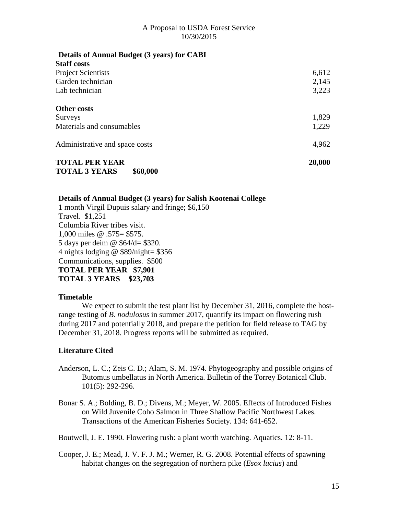| 6,612  |
|--------|
| 2,145  |
| 3,223  |
|        |
| 1,829  |
| 1,229  |
| 4,962  |
| 20,000 |
|        |

#### **Details of Annual Budget (3 years) for Salish Kootenai College**

1 month Virgil Dupuis salary and fringe; \$6,150 Travel. \$1,251 Columbia River tribes visit. 1,000 miles @ .575= \$575. 5 days per deim @ \$64/d= \$320. 4 nights lodging  $\omega$  \$89/night= \$356 Communications, supplies. \$500 **TOTAL PER YEAR \$7,901 TOTAL 3 YEARS \$23,703**

#### **Timetable**

We expect to submit the test plant list by December 31, 2016, complete the hostrange testing of *B. nodulosus* in summer 2017, quantify its impact on flowering rush during 2017 and potentially 2018, and prepare the petition for field release to TAG by December 31, 2018. Progress reports will be submitted as required.

### **Literature Cited**

- Anderson, L. C.; Zeis C. D.; Alam, S. M. 1974. Phytogeography and possible origins of Butomus umbellatus in North America. Bulletin of the Torrey Botanical Club. 101(5): 292-296.
- Bonar S. A.; Bolding, B. D.; Divens, M.; Meyer, W. 2005. Effects of Introduced Fishes on Wild Juvenile Coho Salmon in Three Shallow Pacific Northwest Lakes. Transactions of the American Fisheries Society. 134: 641-652.

Boutwell, J. E. 1990. Flowering rush: a plant worth watching. Aquatics. 12: 8-11.

Cooper, J. E.; Mead, J. V. F. J. M.; Werner, R. G. 2008. Potential effects of spawning habitat changes on the segregation of northern pike (*Esox lucius*) and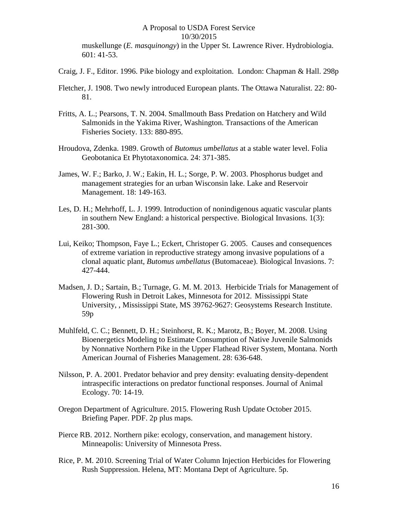muskellunge (*E. masquinongy*) in the Upper St. Lawrence River. Hydrobiologia. 601: 41-53.

- Craig, J. F., Editor. 1996. Pike biology and exploitation. London: Chapman & Hall. 298p
- Fletcher, J. 1908. Two newly introduced European plants. The Ottawa Naturalist. 22: 80- 81.
- Fritts, A. L.; Pearsons, T. N. 2004. Smallmouth Bass Predation on Hatchery and Wild Salmonids in the Yakima River, Washington. Transactions of the American Fisheries Society. 133: 880-895.
- Hroudova, Zdenka. 1989. Growth of *Butomus umbellatus* at a stable water level. Folia Geobotanica Et Phytotaxonomica. 24: 371-385.
- James, W. F.; Barko, J. W.; Eakin, H. L.; Sorge, P. W. 2003. Phosphorus budget and management strategies for an urban Wisconsin lake. Lake and Reservoir Management. 18: 149-163.
- Les, D. H.; Mehrhoff, L. J. 1999. Introduction of nonindigenous aquatic vascular plants in southern New England: a historical perspective. Biological Invasions. 1(3): 281-300.
- Lui, Keiko; Thompson, Faye L.; Eckert, Christoper G. 2005. Causes and consequences of extreme variation in reproductive strategy among invasive populations of a clonal aquatic plant, *Butomus umbellatus* (Butomaceae). Biological Invasions. 7: 427-444.
- Madsen, J. D.; Sartain, B.; Turnage, G. M. M. 2013. Herbicide Trials for Management of Flowering Rush in Detroit Lakes, Minnesota for 2012. Mississippi State University, , Mississippi State, MS 39762-9627: Geosystems Research Institute. 59p
- Muhlfeld, C. C.; Bennett, D. H.; Steinhorst, R. K.; Marotz, B.; Boyer, M. 2008. Using Bioenergetics Modeling to Estimate Consumption of Native Juvenile Salmonids by Nonnative Northern Pike in the Upper Flathead River System, Montana. North American Journal of Fisheries Management. 28: 636-648.
- Nilsson, P. A. 2001. Predator behavior and prey density: evaluating density-dependent intraspecific interactions on predator functional responses. Journal of Animal Ecology. 70: 14-19.
- Oregon Department of Agriculture. 2015. Flowering Rush Update October 2015. Briefing Paper. PDF. 2p plus maps.
- Pierce RB. 2012. Northern pike: ecology, conservation, and management history. Minneapolis: University of Minnesota Press.
- Rice, P. M. 2010. Screening Trial of Water Column Injection Herbicides for Flowering Rush Suppression. Helena, MT: Montana Dept of Agriculture. 5p.